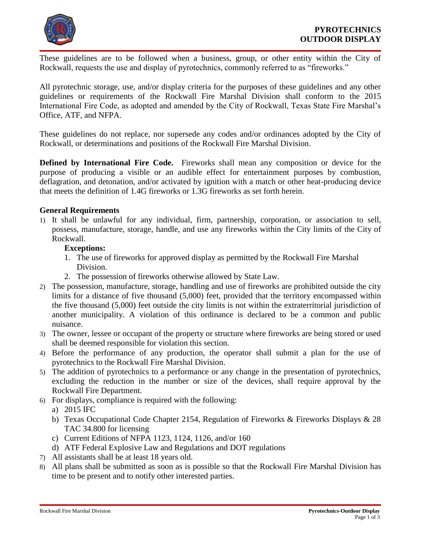

These guidelines are to be followed when a business, group, or other entity within the City of Rockwall, requests the use and display of pyrotechnics, commonly referred to as "fireworks."

All pyrotechnic storage, use, and/or display criteria for the purposes of these guidelines and any other guidelines or requirements of the Rockwall Fire Marshal Division shall conform to the 2015 International Fire Code, as adopted and amended by the City of Rockwall, Texas State Fire Marshal's Office, ATF, and NFPA.

These guidelines do not replace, nor supersede any codes and/or ordinances adopted by the City of Rockwall, or determinations and positions of the Rockwall Fire Marshal Division.

**Defined by International Fire Code.** Fireworks shall mean any composition or device for the purpose of producing a visible or an audible effect for entertainment purposes by combustion, deflagration, and detonation, and/or activated by ignition with a match or other heat-producing device that meets the definition of 1.4G fireworks or 1.3G fireworks as set forth herein.

## **General Requirements**

1) It shall be unlawful for any individual, firm, partnership, corporation, or association to sell, possess, manufacture, storage, handle, and use any fireworks within the City limits of the City of Rockwall.

## **Exceptions:**

- 1. The use of fireworks for approved display as permitted by the Rockwall Fire Marshal Division.
- 2. The possession of fireworks otherwise allowed by State Law.
- 2) The possession, manufacture, storage, handling and use of fireworks are prohibited outside the city limits for a distance of five thousand (5,000) feet, provided that the territory encompassed within the five thousand (5,000) feet outside the city limits is not within the extraterritorial jurisdiction of another municipality. A violation of this ordinance is declared to be a common and public nuisance.
- 3) The owner, lessee or occupant of the property or structure where fireworks are being stored or used shall be deemed responsible for violation this section.
- 4) Before the performance of any production, the operator shall submit a plan for the use of pyrotechnics to the Rockwall Fire Marshal Division.
- 5) The addition of pyrotechnics to a performance or any change in the presentation of pyrotechnics, excluding the reduction in the number or size of the devices, shall require approval by the Rockwall Fire Department.
- 6) For displays, compliance is required with the following:
	- a) 2015 IFC
	- b) Texas Occupational Code Chapter 2154, Regulation of Fireworks & Fireworks Displays & 28 TAC 34.800 for licensing
	- c) Current Editions of NFPA 1123, 1124, 1126, and/or 160
	- d) ATF Federal Explosive Law and Regulations and DOT regulations
- 7) All assistants shall be at least 18 years old.
- 8) All plans shall be submitted as soon as is possible so that the Rockwall Fire Marshal Division has time to be present and to notify other interested parties.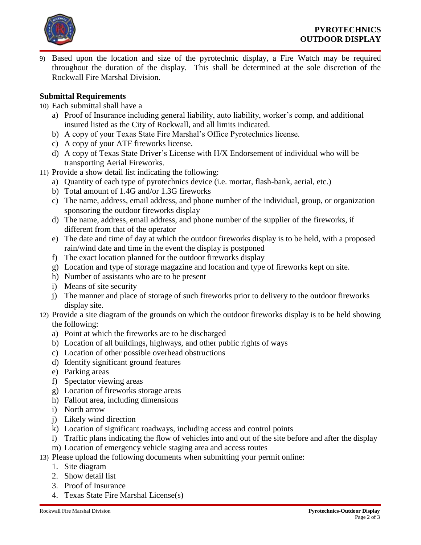

9) Based upon the location and size of the pyrotechnic display, a Fire Watch may be required throughout the duration of the display. This shall be determined at the sole discretion of the Rockwall Fire Marshal Division.

## **Submittal Requirements**

- 10) Each submittal shall have a
	- a) Proof of Insurance including general liability, auto liability, worker's comp, and additional insured listed as the City of Rockwall, and all limits indicated.
	- b) A copy of your Texas State Fire Marshal's Office Pyrotechnics license.
	- c) A copy of your ATF fireworks license.
	- d) A copy of Texas State Driver's License with H/X Endorsement of individual who will be transporting Aerial Fireworks.
- 11) Provide a show detail list indicating the following:
	- a) Quantity of each type of pyrotechnics device (i.e. mortar, flash-bank, aerial, etc.)
	- b) Total amount of 1.4G and/or 1.3G fireworks
	- c) The name, address, email address, and phone number of the individual, group, or organization sponsoring the outdoor fireworks display
	- d) The name, address, email address, and phone number of the supplier of the fireworks, if different from that of the operator
	- e) The date and time of day at which the outdoor fireworks display is to be held, with a proposed rain/wind date and time in the event the display is postponed
	- f) The exact location planned for the outdoor fireworks display
	- g) Location and type of storage magazine and location and type of fireworks kept on site.
	- h) Number of assistants who are to be present
	- i) Means of site security
	- j) The manner and place of storage of such fireworks prior to delivery to the outdoor fireworks display site.
- 12) Provide a site diagram of the grounds on which the outdoor fireworks display is to be held showing the following:
	- a) Point at which the fireworks are to be discharged
	- b) Location of all buildings, highways, and other public rights of ways
	- c) Location of other possible overhead obstructions
	- d) Identify significant ground features
	- e) Parking areas
	- f) Spectator viewing areas
	- g) Location of fireworks storage areas
	- h) Fallout area, including dimensions
	- i) North arrow
	- j) Likely wind direction
	- k) Location of significant roadways, including access and control points
	- l) Traffic plans indicating the flow of vehicles into and out of the site before and after the display
	- m) Location of emergency vehicle staging area and access routes
- 13) Please upload the following documents when submitting your permit online:
	- 1. Site diagram
	- 2. Show detail list
	- 3. Proof of Insurance
	- 4. Texas State Fire Marshal License(s)